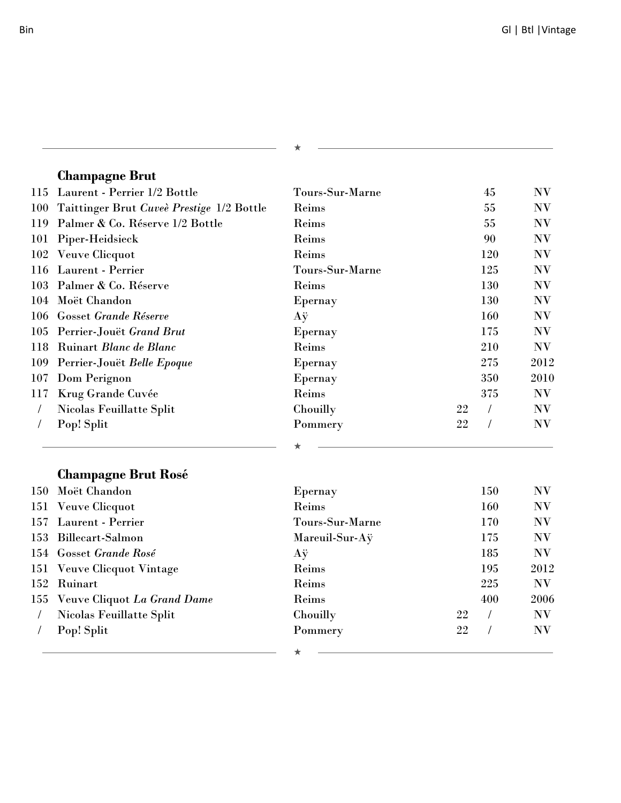| I<br>ı |  |
|--------|--|

### **Champagne Brut**

| 115      | Laurent - Perrier 1/2 Bottle              | Tours-Sur-Marne |    | 45         | N V  |
|----------|-------------------------------------------|-----------------|----|------------|------|
| 100      | Taittinger Brut Cuveè Prestige 1/2 Bottle | Reims           |    | 55         | N V  |
| 119      | Palmer & Co. Réserve 1/2 Bottle           | Reims           |    | 55         | NV   |
| 101      | Piper-Heidsieck                           | Reims           |    | 90         | N V  |
| 102      | Veuve Clicquot                            | Reims           |    | 120        | NV   |
| 116      | Laurent - Perrier                         | Tours-Sur-Marne |    | 125        | NV   |
| 103      | Palmer & Co. Réserve                      | Reims           |    | 130        | NV   |
| 104      | Moët Chandon                              | Epernay         |    | 130        | NV   |
| 106      | <b>Gosset Grande Réserve</b>              | Аÿ              |    | 160        | NV   |
| 105      | Perrier-Jouët Grand Brut                  | Epernay         |    | 175        | NV   |
| 118      | Ruinart Blanc de Blanc                    | Reims           |    | 210        | NV   |
| 109      | Perrier-Jouët Belle Epoque                | Epernay         |    | 275        | 2012 |
| 107      | Dom Perignon                              | Epernay         |    | 350        | 2010 |
| 117      | Krug Grande Cuvée                         | Reims           |    | 375        | NV   |
| $\prime$ | Nicolas Feuillatte Split                  | Chouilly        | 22 | $\sqrt{2}$ | NV   |
|          | Pop! Split                                | Pommery         | 22 | $\sqrt{2}$ | NV   |
|          |                                           |                 |    |            |      |
|          | <b>Champagne Brut Rosé</b>                |                 |    |            |      |
| 150      | Moët Chandon                              | Epernay         |    | 150        | NV   |
| 151      | Veuve Clicquot                            | Reims           |    | 160        | NV   |
| 157      | Laurent - Perrier                         | Tours-Sur-Marne |    | 170        | NV   |
| 153      | <b>Billecart-Salmon</b>                   | Mareuil-Sur-Aÿ  |    | 175        | NV   |
| 154      | Gosset Grande Rosé                        | Aÿ              |    | 185        | N V  |
| 151      | <b>Veuve Clicquot Vintage</b>             | Reims           |    | 195        | 2012 |
| 152      | Ruinart                                   | Reims           |    | 225        | NV   |
| 155      | Veuve Cliquot La Grand Dame               | Reims           |    | 400        | 2006 |
|          | Nicolas Feuillatte Split                  | Chouilly        | 22 | $\sqrt{2}$ | NV   |
|          | Pop! Split                                | Pommery         | 22 |            | N V  |
|          |                                           |                 |    |            |      |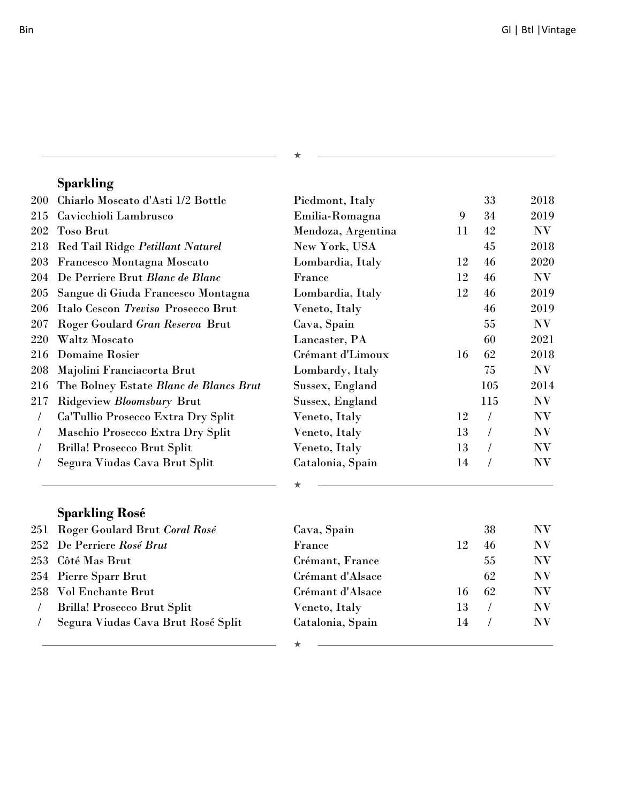# **Sparkling**

| 200        | Chiarlo Moscato d'Asti 1/2 Bottle      | Piedmont, Italy    |    | 33             | 2018 |
|------------|----------------------------------------|--------------------|----|----------------|------|
| 215        | Cavicchioli Lambrusco                  | Emilia-Romagna     | 9  | 34             | 2019 |
| 202        | <b>Toso Brut</b>                       | Mendoza, Argentina | 11 | 42             | NV   |
| 218        | Red Tail Ridge Petillant Naturel       | New York, USA      |    | 45             | 2018 |
| 203        | Francesco Montagna Moscato             | Lombardia, Italy   | 12 | 46             | 2020 |
| 204        | De Perriere Brut Blanc de Blanc        | France             | 12 | 46             | NV   |
| 205        | Sangue di Giuda Francesco Montagna     | Lombardia, Italy   | 12 | 46             | 2019 |
| 206        | Italo Cescon Treviso Prosecco Brut     | Veneto, Italy      |    | 46             | 2019 |
| 207        | Roger Goulard Gran Reserva Brut        | Cava, Spain        |    | 55             | NV   |
| 220        | Waltz Moscato                          | Lancaster, PA      |    | 60             | 2021 |
| 216        | <b>Domaine Rosier</b>                  | Crémant d'Limoux   | 16 | 62             | 2018 |
| 208        | Majolini Franciacorta Brut             | Lombardy, Italy    |    | 75             | NV   |
| 216        | The Bolney Estate Blanc de Blancs Brut | Sussex, England    |    | 105            | 2014 |
| 217        | Ridgeview Bloomsbury Brut              | Sussex, England    |    | 115            | NV   |
| $\sqrt{2}$ | Ca'Tullio Prosecco Extra Dry Split     | Veneto, Italy      | 12 | $\sqrt{2}$     | NV   |
|            | Maschio Prosecco Extra Dry Split       | Veneto, Italy      | 13 | $\sqrt{2}$     | NV   |
|            | Brilla! Prosecco Brut Split            | Veneto, Italy      | 13 | T              | NV   |
|            | Segura Viudas Cava Brut Split          | Catalonia, Spain   | 14 | $\overline{1}$ | NV   |
|            |                                        |                    |    |                |      |
|            | <b>Sparkling Rosé</b>                  |                    |    |                |      |
| 251        | Roger Goulard Brut Coral Rosé          | Cava, Spain        |    | 38             | NV   |
| 252        | De Perriere Rosé Brut                  | France             | 12 | 46             | NV   |
| 253        | Côté Mas Brut                          | Crémant, France    |    | 55             | NV   |
| 254        | Pierre Sparr Brut                      | Crémant d'Alsace   |    | 62             | NV   |
| 258        | Vol Enchante Brut                      | Crémant d'Alsace   | 16 | 62             | NV   |
| $\sqrt{2}$ | <b>Brilla! Prosecco Brut Split</b>     | Veneto, Italy      | 13 | $\overline{1}$ | NV   |
|            | Segura Viudas Cava Brut Rosé Split     | Catalonia, Spain   | 14 | $\sqrt{2}$     | NV   |
|            |                                        | ★                  |    |                |      |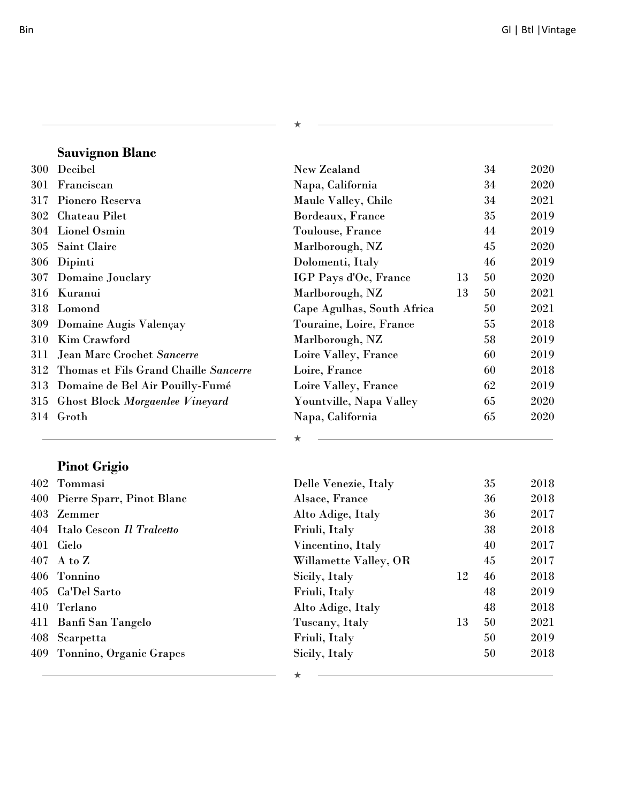$\mathcal{L}^{\mathcal{L}}(\mathcal{L}^{\mathcal{L}})$  and  $\mathcal{L}^{\mathcal{L}}(\mathcal{L}^{\mathcal{L}})$  and  $\mathcal{L}^{\mathcal{L}}(\mathcal{L}^{\mathcal{L}})$  and  $\mathcal{L}^{\mathcal{L}}(\mathcal{L}^{\mathcal{L}})$ 

 $\star$ 

# **Sauvignon Blanc**

| 300 | Decibel                                | New Zealand                |    | 34 | 2020 |
|-----|----------------------------------------|----------------------------|----|----|------|
| 301 | Franciscan                             | Napa, California           |    | 34 | 2020 |
| 317 | Pionero Reserva                        | Maule Valley, Chile        |    | 34 | 2021 |
| 302 | Chateau Pilet                          | Bordeaux, France           |    | 35 | 2019 |
| 304 | Lionel Osmin                           | Toulouse, France           |    | 44 | 2019 |
| 305 | Saint Claire                           | Marlborough, NZ            |    | 45 | 2020 |
| 306 | Dipinti                                | Dolomenti, Italy           |    | 46 | 2019 |
| 307 | Domaine Jouclary                       | IGP Pays d'Oc, France      | 13 | 50 | 2020 |
| 316 | Kuranui                                | Marlborough, NZ            | 13 | 50 | 2021 |
| 318 | Lomond                                 | Cape Agulhas, South Africa |    | 50 | 2021 |
| 309 | Domaine Augis Valençay                 | Touraine, Loire, France    |    | 55 | 2018 |
| 310 | Kim Crawford                           | Marlborough, NZ            |    | 58 | 2019 |
| 311 | Jean Marc Crochet Sancerre             | Loire Valley, France       |    | 60 | 2019 |
| 312 | Thomas et Fils Grand Chaille Sancerre  | Loire, France              |    | 60 | 2018 |
| 313 | Domaine de Bel Air Pouilly-Fumé        | Loire Valley, France       |    | 62 | 2019 |
| 315 | <b>Ghost Block Morgaenlee Vineyard</b> | Yountville, Napa Valley    |    | 65 | 2020 |
| 314 | Groth                                  | Napa, California           |    | 65 | 2020 |
|     |                                        |                            |    |    |      |
|     | <b>Pinot Grigio</b>                    |                            |    |    |      |

| 402 Tommasi                   | Delle Venezie, Italy  |    | 35 | 2018 |
|-------------------------------|-----------------------|----|----|------|
| 400 Pierre Sparr, Pinot Blanc | Alsace, France        |    | 36 | 2018 |
| 403 Zemmer                    | Alto Adige, Italy     |    | 36 | 2017 |
| 404 Italo Cescon Il Tralcetto | Friuli, Italy         |    | 38 | 2018 |
| 401 Cielo                     | Vincentino, Italy     |    | 40 | 2017 |
| $407$ A to Z                  | Willamette Valley, OR |    | 45 | 2017 |
| 406 Tonnino                   | Sicily, Italy         | 12 | 46 | 2018 |
| 405 Ca'Del Sarto              | Friuli, Italy         |    | 48 | 2019 |
| 410 Terlano                   | Alto Adige, Italy     |    | 48 | 2018 |
| 411 Banfi San Tangelo         | Tuscany, Italy        | 13 | 50 | 2021 |
| 408 Scarpetta                 | Friuli, Italy         |    | 50 | 2019 |
| 409 Tonnino, Organic Grapes   | Sicily, Italy         |    | 50 | 2018 |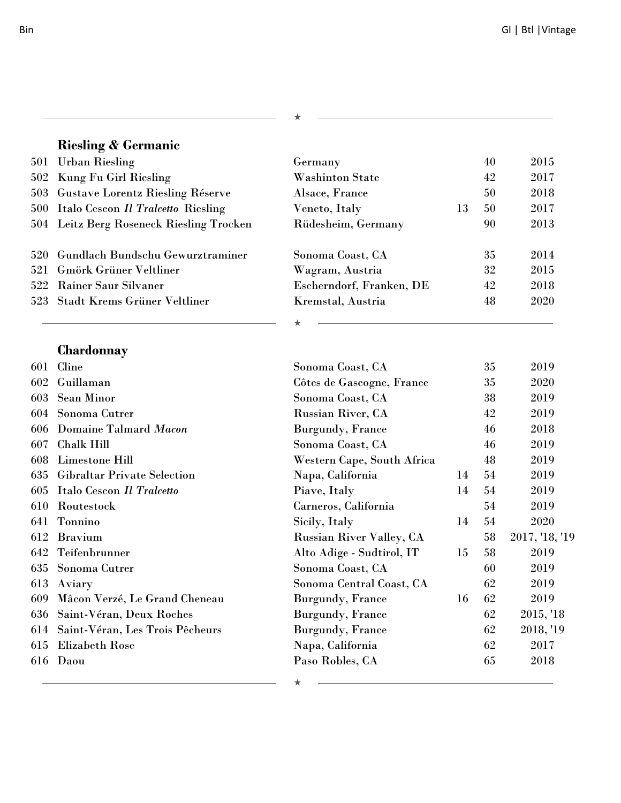# **Riesling & Germanic**

| 501 Urban Riesling                       | Germany                  |    | 40 | 2015 |
|------------------------------------------|--------------------------|----|----|------|
| 502 Kung Fu Girl Riesling                | <b>Washinton State</b>   |    | 42 | 2017 |
| 503 Gustave Lorentz Riesling Réserve     | Alsace, France           |    | 50 | 2018 |
| 500 Italo Cescon Il Tralcetto Riesling   | Veneto, Italy            | 13 | 50 | 2017 |
| 504 Leitz Berg Roseneck Riesling Trocken | Rüdesheim, Germany       |    | 90 | 2013 |
|                                          |                          |    |    |      |
| 520 Gundlach Bundschu Gewurztraminer     | Sonoma Coast, CA         |    | 35 | 2014 |
| 521 Gmörk Grüner Veltliner               | Wagram, Austria          |    | 32 | 2015 |
| 522 Rainer Saur Silvaner                 | Escherndorf, Franken, DE |    | 42 | 2018 |
| 523 Stadt Krems Grüner Veltliner         | Kremstal, Austria        |    | 48 | 2020 |
|                                          |                          |    |    |      |

÷

**Chardonnay**

| 601 | Cline                               | Sonoma Coast, CA                |    | 35 | 2019           |
|-----|-------------------------------------|---------------------------------|----|----|----------------|
| 602 | Guillaman                           | Côtes de Gascogne, France       |    | 35 | 2020           |
| 603 | <b>Sean Minor</b>                   | Sonoma Coast, CA                |    | 38 | 2019           |
|     | 604 Sonoma Cutrer                   | <b>Russian River, CA</b>        |    | 42 | 2019           |
| 606 | Domaine Talmard Macon               | Burgundy, France                |    | 46 | 2018           |
| 607 | <b>Chalk Hill</b>                   | Sonoma Coast, CA                |    | 46 | 2019           |
| 608 | Limestone Hill                      | Western Cape, South Africa      |    | 48 | 2019           |
| 635 | <b>Gibraltar Private Selection</b>  | Napa, California                | 14 | 54 | 2019           |
| 605 | Italo Cescon Il Tralcetto           | Piave, Italy                    | 14 | 54 | 2019           |
| 610 | Routestock                          | Carneros, California            |    | 54 | 2019           |
| 641 | Tonnino                             | Sicily, Italy                   | 14 | 54 | 2020           |
| 612 | <b>Bravium</b>                      | <b>Russian River Valley, CA</b> |    | 58 | 2017, '18, '19 |
| 642 | Teifenbrunner                       | Alto Adige - Sudtirol, IT       | 15 | 58 | 2019           |
| 635 | Sonoma Cutrer                       | Sonoma Coast, CA                |    | 60 | 2019           |
| 613 | Aviary                              | Sonoma Central Coast, CA        |    | 62 | 2019           |
| 609 | Mâcon Verzé, Le Grand Cheneau       | Burgundy, France                | 16 | 62 | 2019           |
| 636 | Saint-Véran, Deux Roches            | Burgundy, France                |    | 62 | 2015, '18      |
|     | 614 Saint-Véran, Les Trois Pêcheurs | Burgundy, France                |    | 62 | 2018, '19      |
| 615 | Elizabeth Rose                      | Napa, California                |    | 62 | 2017           |
|     | 616 Daou                            | Paso Robles, CA                 |    | 65 | 2018           |
|     |                                     |                                 |    |    |                |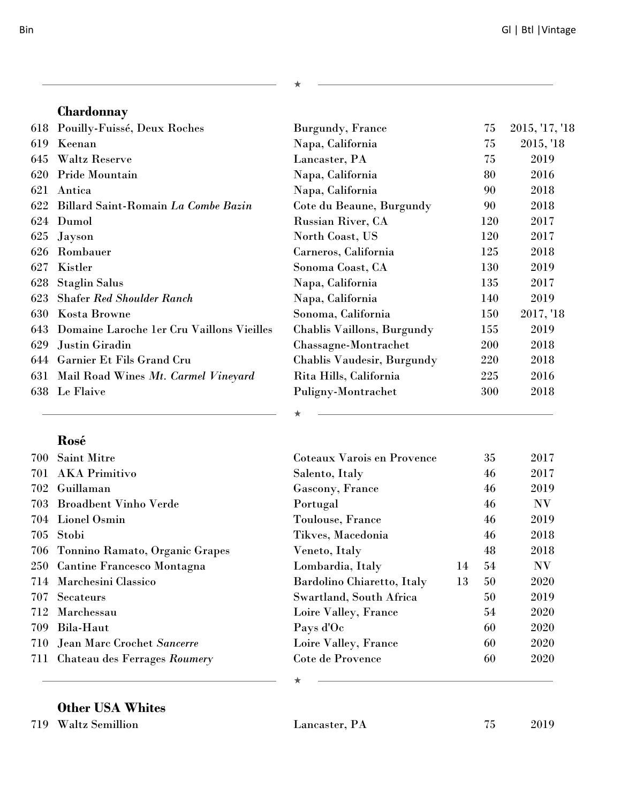|              | I<br>i  |
|--------------|---------|
| I<br>۰.<br>٧ | ۰,<br>× |

### **Chardonnay**

|     | 618 Pouilly-Fuissé, Deux Roches           | Burgundy, France           | 75         | 2015, '17, '18 |
|-----|-------------------------------------------|----------------------------|------------|----------------|
| 619 | Keenan                                    | Napa, California           | 75         | 2015, '18      |
| 645 | <b>Waltz Reserve</b>                      | Lancaster, PA              | 75         | 2019           |
| 620 | Pride Mountain                            | Napa, California           | 80         | 2016           |
| 621 | Antica                                    | Napa, California           | 90         | 2018           |
| 622 | Billard Saint-Romain La Combe Bazin       | Cote du Beaune, Burgundy   | 90         | 2018           |
| 624 | Dumol                                     | <b>Russian River, CA</b>   | 120        | 2017           |
| 625 | <b>Jayson</b>                             | North Coast, US            | 120        | 2017           |
| 626 | Rombauer                                  | Carneros, California       | 125        | 2018           |
| 627 | Kistler                                   | Sonoma Coast, CA           | 130        | 2019           |
| 628 | <b>Staglin Salus</b>                      | Napa, California           | 135        | 2017           |
| 623 | <b>Shafer Red Shoulder Ranch</b>          | Napa, California           | 140        | 2019           |
| 630 | <b>Kosta Browne</b>                       | Sonoma, California         | 150        | 2017, '18      |
| 643 | Domaine Laroche 1er Cru Vaillons Vieilles | Chablis Vaillons, Burgundy | 155        | 2019           |
| 629 | Justin Giradin                            | Chassagne-Montrachet       | <b>200</b> | 2018           |
| 644 | Garnier Et Fils Grand Cru                 | Chablis Vaudesir, Burgundy | 220        | 2018           |
|     | 631 Mail Road Wines Mt. Carmel Vineyard   | Rita Hills, California     | 225        | 2016           |
| 638 | Le Flaive                                 | Puligny-Montrachet         | 300        | 2018           |
|     |                                           |                            |            |                |

 $\star$ 

#### **Rosé**

| 700 | <b>Saint Mitre</b>                 | Coteaux Varois en Provence |    | 35 | 2017                   |
|-----|------------------------------------|----------------------------|----|----|------------------------|
|     | 701 AKA Primitivo                  | Salento, Italy             |    | 46 | 2017                   |
| 702 | Guillaman                          | Gascony, France            |    | 46 | 2019                   |
|     | 703 Broadbent Vinho Verde          | Portugal                   |    | 46 | $\mathbf{N}\mathbf{V}$ |
|     | 704 Lionel Osmin                   | Toulouse, France           |    | 46 | 2019                   |
|     | 705 Stobi                          | Tikves, Macedonia          |    | 46 | 2018                   |
|     | 706 Tonnino Ramato, Organic Grapes | Veneto, Italy              |    | 48 | 2018                   |
|     | 250 Cantine Francesco Montagna     | Lombardia, Italy           | 14 | 54 | $\mathbf{N}\mathbf{V}$ |
|     | 714 Marchesini Classico            | Bardolino Chiaretto, Italy | 13 | 50 | 2020                   |
| 707 | Secateurs                          | Swartland, South Africa    |    | 50 | 2019                   |
| 712 | Marchessau                         | Loire Valley, France       |    | 54 | 2020                   |
| 709 | Bila-Haut                          | Pays d'Oc                  |    | 60 | 2020                   |
|     | 710 Jean Marc Crochet Sancerre     | Loire Valley, France       |    | 60 | 2020                   |
|     | 711 Chateau des Ferrages Roumery   | Cote de Provence           |    | 60 | 2020                   |
|     |                                    | ∸                          |    |    |                        |

### **Other USA Whites**

Waltz Semillion Lancaster, PA 75 2019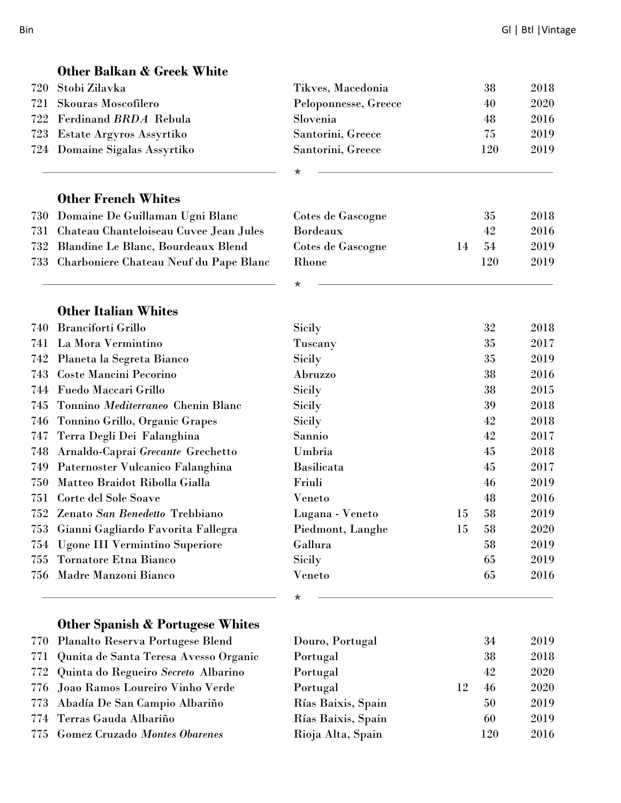|     | <b>Other Balkan &amp; Greek White</b>       |                      |    |     |      |
|-----|---------------------------------------------|----------------------|----|-----|------|
| 720 | Stobi Zilavka                               | Tikves, Macedonia    |    | 38  | 2018 |
| 721 | Skouras Moscofilero                         | Peloponnesse, Greece |    | 40  | 2020 |
| 722 | Ferdinand BRDA Rebula                       | Slovenia             |    | 48  | 2016 |
| 723 | Estate Argyros Assyrtiko                    | Santorini, Greece    |    | 75  | 2019 |
|     | 724 Domaine Sigalas Assyrtiko               | Santorini, Greece    |    | 120 | 2019 |
|     |                                             |                      |    |     |      |
|     |                                             |                      |    |     |      |
|     | <b>Other French Whites</b>                  |                      |    |     |      |
| 730 | Domaine De Guillaman Ugni Blanc             | Cotes de Gascogne    |    | 35  | 2018 |
| 731 | Chateau Chanteloiseau Cuvee Jean Jules      | <b>Bordeaux</b>      |    | 42  | 2016 |
| 732 | Blandine Le Blanc, Bourdeaux Blend          | Cotes de Gascogne    | 14 | 54  | 2019 |
| 733 | Charboniere Chateau Neuf du Pape Blanc      | Rhone                |    | 120 | 2019 |
|     |                                             |                      |    |     |      |
|     | <b>Other Italian Whites</b>                 |                      |    |     |      |
| 740 | <b>Branciforti Grillo</b>                   | <b>Sicily</b>        |    | 32  | 2018 |
| 741 | La Mora Vermintino                          | Tuscany              |    | 35  | 2017 |
| 742 | Planeta la Segreta Bianco                   | <b>Sicily</b>        |    | 35  | 2019 |
| 743 | <b>Coste Mancini Pecorino</b>               | Abruzzo              |    | 38  | 2016 |
| 744 | Fuedo Maccari Grillo                        | Sicily               |    | 38  | 2015 |
| 745 | Tonnino Mediterraneo Chenin Blanc           | <b>Sicily</b>        |    | 39  | 2018 |
| 746 | Tonnino Grillo, Organic Grapes              | Sicily               |    | 42  | 2018 |
| 747 | Terra Degli Dei Falanghina                  | Sannio               |    | 42  | 2017 |
| 748 | Arnaldo-Caprai Grecante Grechetto           | Umbria               |    | 45  | 2018 |
| 749 | Paternoster Vulcanico Falanghina            | <b>Basilicata</b>    |    | 45  | 2017 |
| 750 | Matteo Braidot Ribolla Gialla               | Friuli               |    | 46  | 2019 |
| 751 | Corte del Sole Soave                        | Veneto               |    | 48  | 2016 |
|     | 752 Zenato San Benedetto Trebbiano          | Lugana - Veneto      | 15 | 58  | 2019 |
| 753 | Gianni Gagliardo Favorita Fallegra          | Piedmont, Langhe     | 15 | 58  | 2020 |
| 754 | <b>Ugone III Vermintino Superiore</b>       | Gallura              |    | 58  | 2019 |
| 755 | Tornatore Etna Bianco                       | Sicily               |    | 65  | 2019 |
| 756 | Madre Manzoni Bianco                        | Veneto               |    | 65  | 2016 |
|     |                                             |                      |    |     |      |
|     | <b>Other Spanish &amp; Portugese Whites</b> |                      |    |     |      |
| 770 | Planalto Reserva Portugese Blend            | Douro, Portugal      |    | 34  | 2019 |
| 771 | Qunita de Santa Teresa Avesso Organic       | Portugal             |    | 38  | 2018 |

- 772 Quinta do Regueiro Secreto Albarino
- 776 Joao Ramos Loureiro Vinho Verde
- 773 Abadía De San Campio Albariño
- 774 Terras Gauda Albariño
- 775 Gomez Cruzado Montes Obarenes Rioja Alta, Sp

| Douro, Portugal    |    | 54  | 2019 |
|--------------------|----|-----|------|
| Portugal           |    | 38  | 2018 |
| Portugal           |    | 42  | 2020 |
| Portugal           | 12 | 46  | 2020 |
| Rías Baixis, Spain |    | 50  | 2019 |
| Rías Baixis, Spain |    | 60  | 2019 |
| Rioja Alta, Spain  |    | 120 | 2016 |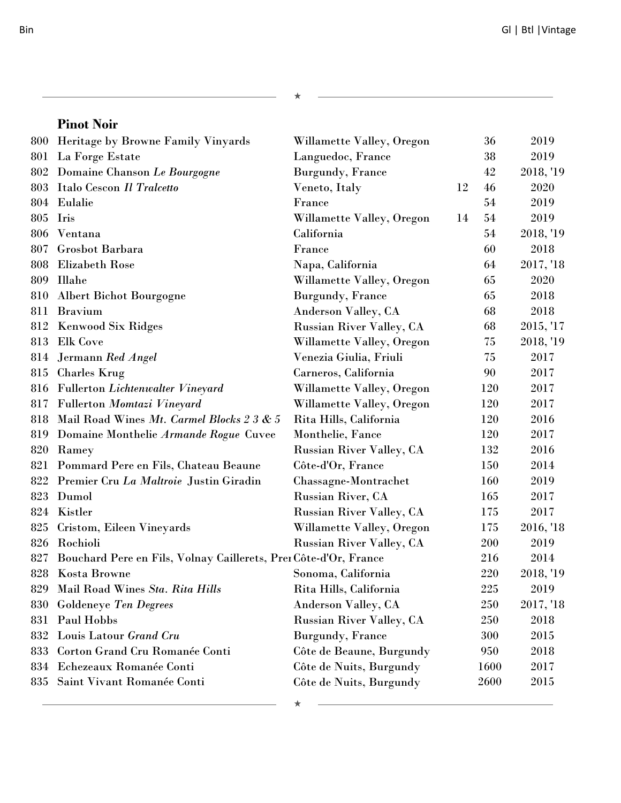|     | <b>Pinot Noir</b>                                                    |                                 |    |            |           |
|-----|----------------------------------------------------------------------|---------------------------------|----|------------|-----------|
| 800 | Heritage by Browne Family Vinyards                                   | Willamette Valley, Oregon       |    | 36         | 2019      |
| 801 | La Forge Estate                                                      | Languedoc, France               |    | 38         | 2019      |
| 802 | Domaine Chanson Le Bourgogne                                         | <b>Burgundy</b> , France        |    | 42         | 2018, '19 |
| 803 | Italo Cescon Il Tralcetto                                            | Veneto, Italy                   | 12 | 46         | 2020      |
|     | 804 Eulalie                                                          | France                          |    | 54         | 2019      |
| 805 | Iris                                                                 | Willamette Valley, Oregon       | 14 | 54         | 2019      |
|     | 806 Ventana                                                          | California                      |    | 54         | 2018, '19 |
| 807 | Grosbot Barbara                                                      | France                          |    | 60         | 2018      |
| 808 | <b>Elizabeth Rose</b>                                                | Napa, California                |    | 64         | 2017, '18 |
| 809 | <b>Illahe</b>                                                        | Willamette Valley, Oregon       |    | 65         | 2020      |
| 810 | <b>Albert Bichot Bourgogne</b>                                       | <b>Burgundy</b> , France        |    | 65         | 2018      |
| 811 | <b>Bravium</b>                                                       | <b>Anderson Valley, CA</b>      |    | 68         | 2018      |
|     | 812 Kenwood Six Ridges                                               | <b>Russian River Valley, CA</b> |    | 68         | 2015, '17 |
| 813 | <b>Elk Cove</b>                                                      | Willamette Valley, Oregon       |    | 75         | 2018, '19 |
| 814 | Jermann Red Angel                                                    | Venezia Giulia, Friuli          |    | 75         | 2017      |
| 815 | <b>Charles Krug</b>                                                  | Carneros, California            |    | 90         | 2017      |
| 816 | <b>Fullerton Lichtenwalter Vineyard</b>                              | Willamette Valley, Oregon       |    | 120        | 2017      |
| 817 | <b>Fullerton Momtazi Vineyard</b>                                    | Willamette Valley, Oregon       |    | 120        | 2017      |
| 818 | Mail Road Wines Mt. Carmel Blocks 2 3 & 5                            | Rita Hills, California          |    | 120        | 2016      |
| 819 | Domaine Monthelie Armande Rogue Cuvee                                | Monthelie, Fance                |    | 120        | 2017      |
| 820 | Ramey                                                                | <b>Russian River Valley, CA</b> |    | 132        | 2016      |
|     | 821 Pommard Pere en Fils, Chateau Beaune                             | Côte-d'Or, France               |    | 150        | 2014      |
| 822 | Premier Cru La Maltroie Justin Giradin                               | Chassagne-Montrachet            |    | <b>160</b> | 2019      |
| 823 | Dumol                                                                | Russian River, CA               |    | 165        | 2017      |
| 824 | Kistler                                                              | <b>Russian River Valley, CA</b> |    | 175        | 2017      |
| 825 | Cristom, Eileen Vineyards                                            | Willamette Valley, Oregon       |    | 175        | 2016, '18 |
| 826 | Rochioli                                                             | <b>Russian River Valley, CA</b> |    | 200        | 2019      |
|     | 827 Bouchard Pere en Fils, Volnay Caillerets, Prei Côte-d'Or, France |                                 |    | 216        | 2014      |
| 828 | <b>Kosta Browne</b>                                                  | Sonoma, California              |    | 220        | 2018, '19 |
| 829 | Mail Road Wines Sta. Rita Hills                                      | Rita Hills, California          |    | 225        | 2019      |
| 830 | <b>Goldeneye Ten Degrees</b>                                         | <b>Anderson Valley, CA</b>      |    | 250        | 2017, '18 |
| 831 | Paul Hobbs                                                           | <b>Russian River Valley, CA</b> |    | 250        | 2018      |
| 832 | Louis Latour Grand Cru                                               | <b>Burgundy</b> , France        |    | 300        | 2015      |
| 833 | Corton Grand Cru Romanée Conti                                       | Côte de Beaune, Burgundy        |    | 950        | 2018      |
| 834 | Echezeaux Romanée Conti                                              | Côte de Nuits, Burgundy         |    | 1600       | 2017      |
| 835 | Saint Vivant Romanée Conti                                           | Côte de Nuits, Burgundy         |    | 2600       | 2015      |
|     |                                                                      |                                 |    |            |           |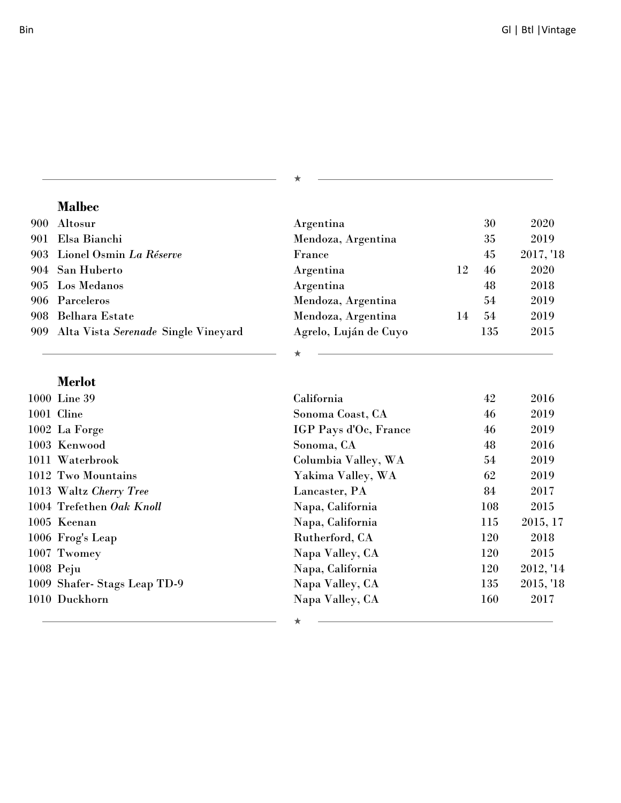$\star$ 

#### **Malbec**

<u> 1980 - Johann Barn, fransk politik (d. 1980)</u>

| 900 Altosur                             | Argentina             |    | 30  | 2020      |
|-----------------------------------------|-----------------------|----|-----|-----------|
| 901 Elsa Bianchi                        | Mendoza, Argentina    |    | 35  | 2019      |
| 903 Lionel Osmin La Réserve             | France                |    | 45  | 2017, '18 |
| 904 San Huberto                         | Argentina             | 12 | 46  | 2020      |
| 905 Los Medanos                         | Argentina             |    | 48  | 2018      |
| 906 Parceleros                          | Mendoza, Argentina    |    | 54  | 2019      |
| 908 Belhara Estate                      | Mendoza, Argentina    | 14 | 54  | 2019      |
| 909 Alta Vista Serenade Single Vineyard | Agrelo, Luján de Cuyo |    | 135 | 2015      |

 $\star$ 

### **Merlot**

| 1000 Line 39                | California            | 42  | 2016      |
|-----------------------------|-----------------------|-----|-----------|
| 1001 Cline                  | Sonoma Coast, CA      | 46  | 2019      |
| 1002 La Forge               | IGP Pays d'Oc, France | 46  | 2019      |
| 1003 Kenwood                | Sonoma, CA            | 48  | 2016      |
| 1011 Waterbrook             | Columbia Valley, WA   | 54  | 2019      |
| 1012 Two Mountains          | Yakima Valley, WA     | 62  | 2019      |
| 1013 Waltz Cherry Tree      | Lancaster, PA         | 84  | 2017      |
| 1004 Trefethen Oak Knoll    | Napa, California      | 108 | 2015      |
| 1005 Keenan                 | Napa, California      | 115 | 2015, 17  |
| 1006 Frog's Leap            | Rutherford, CA        | 120 | 2018      |
| 1007 Twomey                 | Napa Valley, CA       | 120 | 2015      |
| $1008$ Peju                 | Napa, California      | 120 | 2012, '14 |
| 1009 Shafer-Stags Leap TD-9 | Napa Valley, CA       | 135 | 2015, '18 |
| 1010 Duckhorn               | Napa Valley, CA       | 160 | 2017      |
|                             |                       |     |           |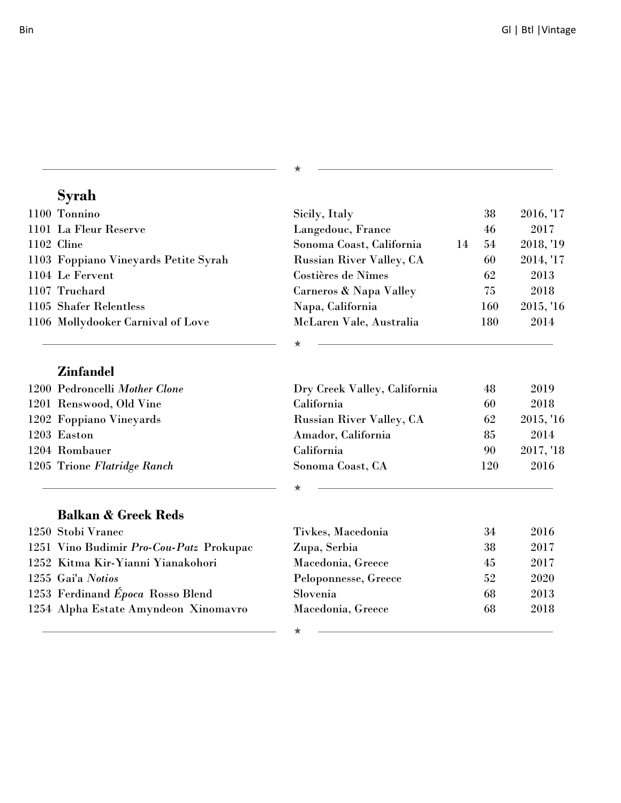| Syrah                                   |                                 |    |     |           |
|-----------------------------------------|---------------------------------|----|-----|-----------|
| 1100 Tonnino                            | Sicily, Italy                   |    | 38  | 2016, '17 |
| 1101 La Fleur Reserve                   | Langedouc, France               |    | 46  | 2017      |
| 1102 Cline                              | Sonoma Coast, California        | 14 | 54  | 2018, '19 |
| 1103 Foppiano Vineyards Petite Syrah    | <b>Russian River Valley, CA</b> |    | 60  | 2014, '17 |
| 1104 Le Fervent                         | Costières de Nîmes              |    | 62  | 2013      |
| 1107 Truchard                           | Carneros & Napa Valley          |    | 75  | 2018      |
| 1105 Shafer Relentless                  | Napa, California                |    | 160 | 2015, '16 |
| 1106 Mollydooker Carnival of Love       | McLaren Vale, Australia         |    | 180 | 2014      |
|                                         |                                 |    |     |           |
| <b>Zinfandel</b>                        |                                 |    |     |           |
| 1200 Pedroncelli Mother Clone           | Dry Creek Valley, California    |    | 48  | 2019      |
| 1201 Renswood, Old Vine                 | California                      |    | 60  | 2018      |
| 1202 Foppiano Vineyards                 | <b>Russian River Valley, CA</b> |    | 62  | 2015, '16 |
| 1203 Easton                             | Amador, California              |    | 85  | 2014      |
| 1204 Rombauer                           | California                      |    | 90  | 2017, '18 |
| 1205 Trione Flatridge Ranch             | Sonoma Coast, CA                |    | 120 | 2016      |
|                                         |                                 |    |     |           |
| <b>Balkan &amp; Greek Reds</b>          |                                 |    |     |           |
| 1250 Stobi Vranec                       | Tivkes, Macedonia               |    | 34  | 2016      |
| 1251 Vino Budimir Pro-Cou-Patz Prokupac | Zupa, Serbia                    |    | 38  | 2017      |
| 1252 Kitma Kir-Yianni Yianakohori       | Macedonia, Greece               |    | 45  | 2017      |
| 1255 Gai'a Notios                       | Peloponnesse, Greece            |    | 52  | 2020      |
| 1253 Ferdinand Época Rosso Blend        | Slovenia                        |    | 68  | 2013      |
| 1254 Alpha Estate Amyndeon Xinomavro    | Macedonia, Greece               |    | 68  | 2018      |
|                                         |                                 |    |     |           |

₩

★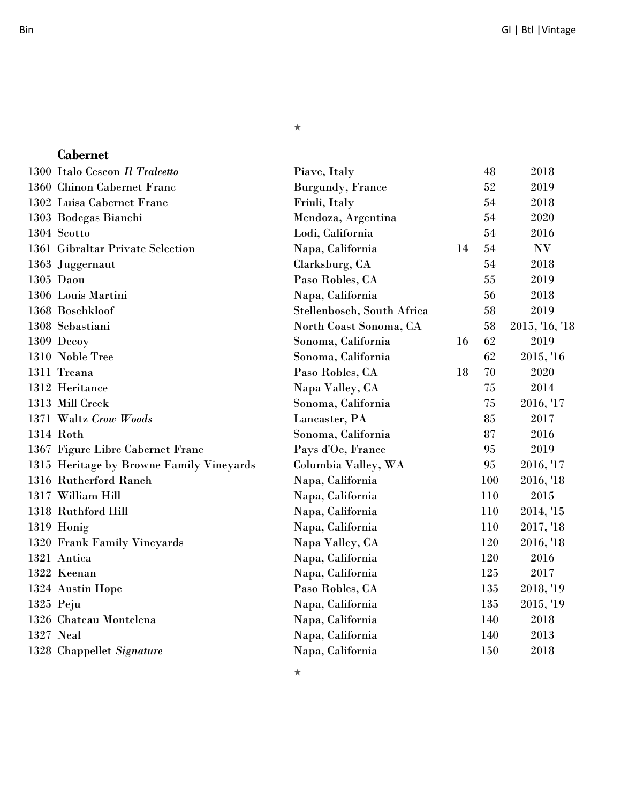| <b>Cabernet</b>                          |                            |    |     |                |
|------------------------------------------|----------------------------|----|-----|----------------|
| 1300 Italo Cescon Il Tralcetto           | Piave, Italy               |    | 48  | 2018           |
| 1360 Chinon Cabernet Franc               | <b>Burgundy</b> , France   |    | 52  | 2019           |
| 1302 Luisa Cabernet Franc                | Friuli, Italy              |    | 54  | 2018           |
| 1303 Bodegas Bianchi                     | Mendoza, Argentina         |    | 54  | 2020           |
| 1304 Scotto                              | Lodi, California           |    | 54  | 2016           |
| 1361 Gibraltar Private Selection         | Napa, California           | 14 | 54  | NV             |
| 1363 Juggernaut                          | Clarksburg, CA             |    | 54  | 2018           |
| 1305 Daou                                | Paso Robles, CA            |    | 55  | 2019           |
| 1306 Louis Martini                       | Napa, California           |    | 56  | 2018           |
| 1368 Boschkloof                          | Stellenbosch, South Africa |    | 58  | 2019           |
| 1308 Sebastiani                          | North Coast Sonoma, CA     |    | 58  | 2015, '16, '18 |
| 1309 Decoy                               | Sonoma, California         | 16 | 62  | 2019           |
| 1310 Noble Tree                          | Sonoma, California         |    | 62  | 2015, '16      |
| 1311 Treana                              | Paso Robles, CA            | 18 | 70  | 2020           |
| 1312 Heritance                           | Napa Valley, CA            |    | 75  | 2014           |
| 1313 Mill Creek                          | Sonoma, California         |    | 75  | 2016, '17      |
| 1371 Waltz Crow Woods                    | Lancaster, PA              |    | 85  | 2017           |
| 1314 Roth                                | Sonoma, California         |    | 87  | 2016           |
| 1367 Figure Libre Cabernet Franc         | Pays d'Oc, France          |    | 95  | 2019           |
| 1315 Heritage by Browne Family Vineyards | Columbia Valley, WA        |    | 95  | 2016, '17      |
| 1316 Rutherford Ranch                    | Napa, California           |    | 100 | 2016, '18      |
| 1317 William Hill                        | Napa, California           |    | 110 | 2015           |
| 1318 Ruthford Hill                       | Napa, California           |    | 110 | 2014, '15      |
| 1319 Honig                               | Napa, California           |    | 110 | 2017, '18      |
| 1320 Frank Family Vineyards              | Napa Valley, CA            |    | 120 | 2016, '18      |
| 1321 Antica                              | Napa, California           |    | 120 | 2016           |
| 1322 Keenan                              | Napa, California           |    | 125 | 2017           |
| 1324 Austin Hope                         | Paso Robles, CA            |    | 135 | 2018, '19      |
| 1325 Peju                                | Napa, California           |    | 135 | 2015, '19      |
| 1326 Chateau Montelena                   | Napa, California           |    | 140 | 2018           |
| 1327 Neal                                | Napa, California           |    | 140 | 2013           |
| 1328 Chappellet Signature                | Napa, California           |    | 150 | 2018           |
|                                          |                            |    |     |                |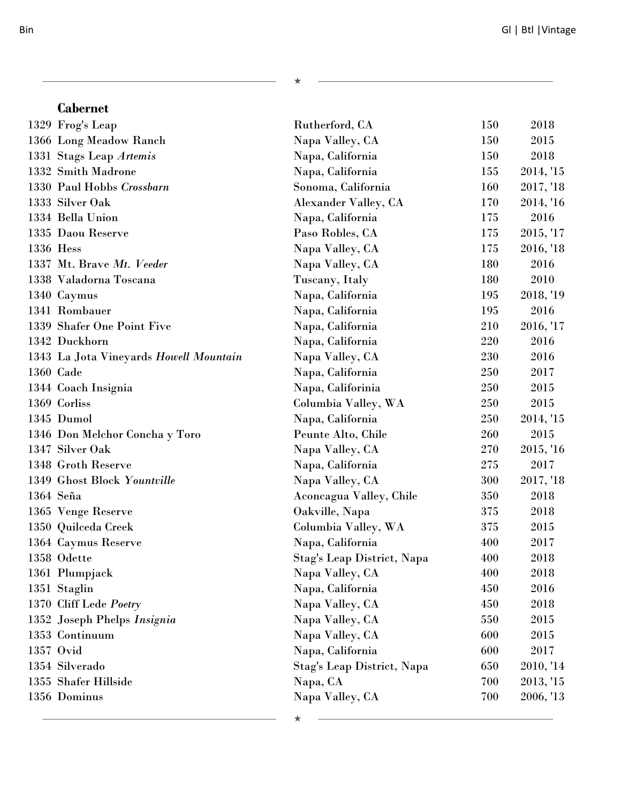| 1329 Frog's Leap                       | Rutherford, CA              | 150 | 2018      |
|----------------------------------------|-----------------------------|-----|-----------|
| 1366 Long Meadow Ranch                 | Napa Valley, CA             | 150 | 2015      |
| 1331 Stags Leap Artemis                | Napa, California            | 150 | 2018      |
| 1332 Smith Madrone                     | Napa, California            | 155 | 2014, '15 |
| 1330 Paul Hobbs Crossbarn              | Sonoma, California          | 160 | 2017, '18 |
| 1333 Silver Oak                        | <b>Alexander Valley, CA</b> | 170 | 2014, '16 |
| 1334 Bella Union                       | Napa, California            | 175 | 2016      |
| 1335 Daou Reserve                      | Paso Robles, CA             | 175 | 2015, '17 |
| 1336 Hess                              | Napa Valley, CA             | 175 | 2016, '18 |
| 1337 Mt. Brave Mt. Veeder              | Napa Valley, CA             | 180 | 2016      |
| 1338 Valadorna Toscana                 | Tuscany, Italy              | 180 | 2010      |
| 1340 Caymus                            | Napa, California            | 195 | 2018, '19 |
| 1341 Rombauer                          | Napa, California            | 195 | 2016      |
| 1339 Shafer One Point Five             | Napa, California            | 210 | 2016, '17 |
| 1342 Duckhorn                          | Napa, California            | 220 | 2016      |
| 1343 La Jota Vineyards Howell Mountain | Napa Valley, CA             | 230 | 2016      |
| 1360 Cade                              | Napa, California            | 250 | 2017      |
| 1344 Coach Insignia                    | Napa, Califorinia           | 250 | 2015      |
| 1369 Corliss                           | Columbia Valley, WA         | 250 | 2015      |
| 1345 Dumol                             | Napa, California            | 250 | 2014, '15 |
| 1346 Don Melchor Concha y Toro         | Peunte Alto, Chile          | 260 | 2015      |
| 1347 Silver Oak                        | Napa Valley, CA             | 270 | 2015, '16 |
| 1348 Groth Reserve                     | Napa, California            | 275 | 2017      |
| 1349 Ghost Block Yountville            | Napa Valley, CA             | 300 | 2017, '18 |
| 1364 Seña                              | Aconcagua Valley, Chile     | 350 | 2018      |
| 1365 Venge Reserve                     | Oakville, Napa              | 375 | 2018      |
| 1350 Quilceda Creek                    | Columbia Valley, WA         | 375 | 2015      |
| 1364 Caymus Reserve                    | Napa, California            | 400 | 2017      |
| 1358 Odette                            | Stag's Leap District, Napa  | 400 | 2018      |
| 1361 Plumpjack                         | Napa Valley, CA             | 400 | 2018      |
| 1351 Staglin                           | Napa, California            | 450 | 2016      |
| 1370 Cliff Lede Poetry                 | Napa Valley, CA             | 450 | 2018      |
| 1352 Joseph Phelps Insignia            | Napa Valley, CA             | 550 | 2015      |
| 1353 Continuum                         | Napa Valley, CA             | 600 | 2015      |
| 1357 Ovid                              | Napa, California            | 600 | 2017      |
| 1354 Silverado                         | Stag's Leap District, Napa  | 650 | 2010, '14 |
| 1355 Shafer Hillside                   | Napa, CA                    | 700 | 2013, '15 |
| 1356 Dominus                           | Napa Valley, CA             | 700 | 2006, '13 |
|                                        |                             |     |           |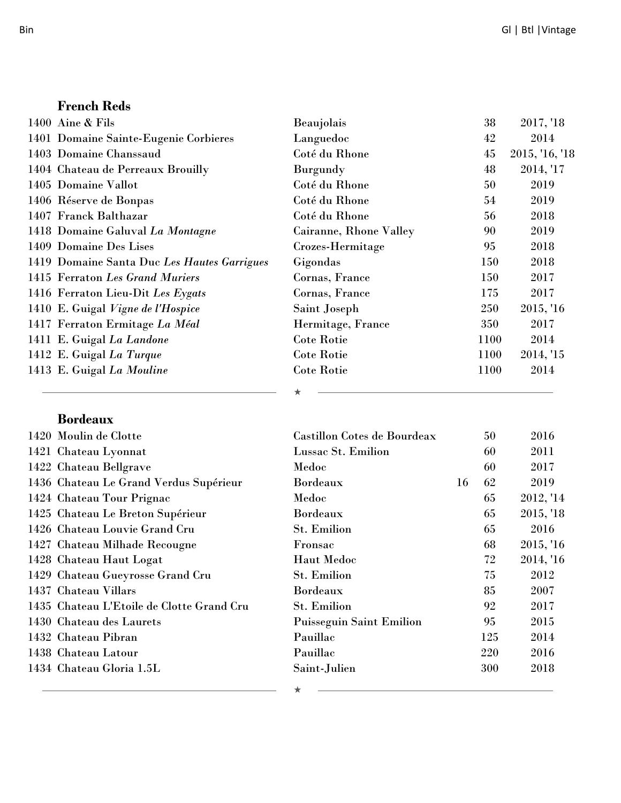<u> 1980 - Johann Barbara, martxa alemaniar arg</u>

#### **French Reds**

| 1400 Aine $&$ Fils                          | Beaujolais             | 38   | 2017, '18      |
|---------------------------------------------|------------------------|------|----------------|
| 1401 Domaine Sainte-Eugenie Corbieres       | Languedoc              | 42   | 2014           |
| 1403 Domaine Chanssaud                      | Coté du Rhone          | 45   | 2015, '16, '18 |
| 1404 Chateau de Perreaux Brouilly           | Burgundy               | 48   | 2014, '17      |
| 1405 Domaine Vallot                         | Coté du Rhone          | 50   | 2019           |
| 1406 Réserve de Bonpas                      | Coté du Rhone          | 54   | 2019           |
| 1407 Franck Balthazar                       | Coté du Rhone          | 56   | 2018           |
| 1418 Domaine Galuval La Montagne            | Cairanne, Rhone Valley | 90   | 2019           |
| 1409 Domaine Des Lises                      | Crozes-Hermitage       | 95   | 2018           |
| 1419 Domaine Santa Duc Les Hautes Garrigues | Gigondas               | 150  | 2018           |
| 1415 Ferraton Les Grand Muriers             | Cornas, France         | 150  | 2017           |
| 1416 Ferraton Lieu-Dit Les Eygats           | Cornas, France         | 175  | 2017           |
| 1410 E. Guigal Vigne de l'Hospice           | Saint Joseph           | 250  | 2015, '16      |
| 1417 Ferraton Ermitage La Méal              | Hermitage, France      | 350  | 2017           |
| 1411 E. Guigal La Landone                   | <b>Cote Rotie</b>      | 1100 | 2014           |
| 1412 E. Guigal La Turque                    | <b>Cote Rotie</b>      | 1100 | 2014, '15      |
| 1413 E. Guigal La Mouline                   | <b>Cote Rotie</b>      | 1100 | 2014           |
|                                             |                        |      |                |

<u> 1989 - Johann Stein, fransk politik (d. 1989)</u>

 $\star$ 

#### **Bordeaux**

| 1420 Moulin de Clotte                     | Castillon Cotes de Bourdeax     |    | 50  | 2016      |
|-------------------------------------------|---------------------------------|----|-----|-----------|
| 1421 Chateau Lyonnat                      | Lussac St. Emilion              |    | 60  | 2011      |
| 1422 Chateau Bellgrave                    | Medoc                           |    | 60  | 2017      |
| 1436 Chateau Le Grand Verdus Supérieur    | <b>Bordeaux</b>                 | 16 | 62  | 2019      |
| 1424 Chateau Tour Prignac                 | Medoc                           |    | 65  | 2012, '14 |
| 1425 Chateau Le Breton Supérieur          | <b>Bordeaux</b>                 |    | 65  | 2015, '18 |
| 1426 Chateau Louvie Grand Cru             | <b>St. Emilion</b>              |    | 65  | 2016      |
| 1427 Chateau Milhade Recougne             | Fronsac                         |    | 68  | 2015, '16 |
| 1428 Chateau Haut Logat                   | <b>Haut Medoc</b>               |    | 72  | 2014, '16 |
| 1429 Chateau Gueyrosse Grand Cru          | <b>St. Emilion</b>              |    | 75  | 2012      |
| 1437 Chateau Villars                      | <b>Bordeaux</b>                 |    | 85  | 2007      |
| 1435 Chateau L'Etoile de Clotte Grand Cru | <b>St. Emilion</b>              |    | 92  | 2017      |
| 1430 Chateau des Laurets                  | <b>Puisseguin Saint Emilion</b> |    | 95  | 2015      |
| 1432 Chateau Pibran                       | Pauillac                        |    | 125 | 2014      |
| 1438 Chateau Latour                       | Pauillac                        |    | 220 | 2016      |
| 1434 Chateau Gloria 1.5L                  | Saint-Julien                    |    | 300 | 2018      |
|                                           |                                 |    |     |           |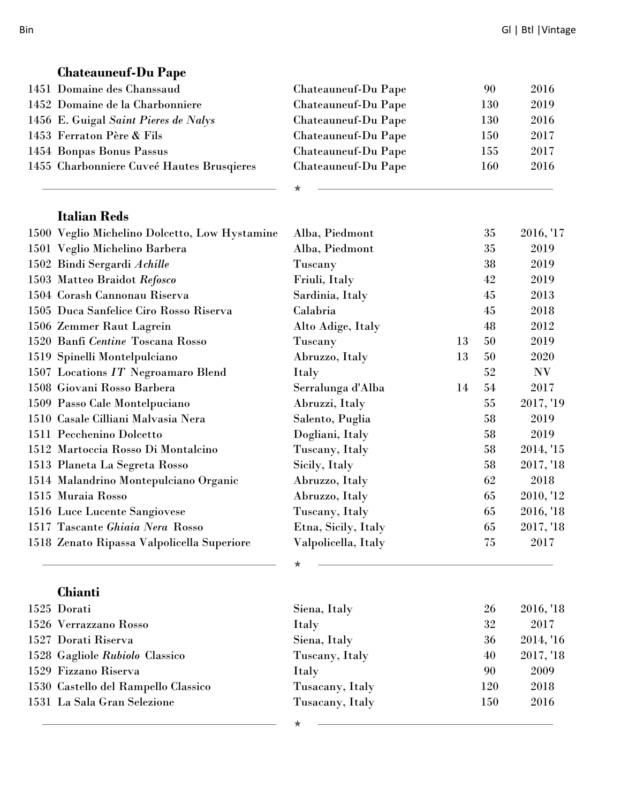| <b>Chateauneuf-Du Pape</b>                    |                     |    |     |           |
|-----------------------------------------------|---------------------|----|-----|-----------|
| 1451 Domaine des Chanssaud                    | Chateauneuf-Du Pape |    | 90  | 2016      |
| 1452 Domaine de la Charbonniere               | Chateauneuf-Du Pape |    | 130 | 2019      |
| 1456 E. Guigal Saint Pieres de Nalys          | Chateauneuf-Du Pape |    | 130 | 2016      |
| 1453 Ferraton Père & Fils                     | Chateauneuf-Du Pape |    | 150 | 2017      |
| 1454 Bonpas Bonus Passus                      | Chateauneuf-Du Pape |    | 155 | 2017      |
| 1455 Charbonniere Cuveé Hautes Brusqieres     | Chateauneuf-Du Pape |    | 160 | 2016      |
|                                               |                     |    |     |           |
| <b>Italian Reds</b>                           |                     |    |     |           |
| 1500 Veglio Michelino Dolcetto, Low Hystamine | Alba, Piedmont      |    | 35  | 2016, '17 |
| 1501 Veglio Michelino Barbera                 | Alba, Piedmont      |    | 35  | 2019      |
| 1502 Bindi Sergardi Achille                   | Tuscany             |    | 38  | 2019      |
| 1503 Matteo Braidot Refosco                   | Friuli, Italy       |    | 42  | 2019      |
| 1504 Corash Cannonau Riserva                  | Sardinia, Italy     |    | 45  | 2013      |
| 1505 Duca Sanfelice Ciro Rosso Riserva        | Calabria            |    | 45  | 2018      |
| 1506 Zemmer Raut Lagrein                      | Alto Adige, Italy   |    | 48  | 2012      |
| 1520 Banfi Centine Toscana Rosso              | Tuscany             | 13 | 50  | 2019      |
| 1519 Spinelli Montelpulciano                  | Abruzzo, Italy      | 13 | 50  | 2020      |
| $1507\,$ Locations $IT$ Negroamaro Blend      | Italy               |    | 52  | N V       |
| 1508 Giovani Rosso Barbera                    | Serralunga d'Alba   | 14 | 54  | 2017      |
| 1509 Passo Cale Montelpuciano                 | Abruzzi, Italy      |    | 55  | 2017, '19 |
| 1510 Casale Cilliani Malvasia Nera            | Salento, Puglia     |    | 58  | 2019      |
| 1511 Pecchenino Dolcetto                      | Dogliani, Italy     |    | 58  | 2019      |
| 1512 Martoccia Rosso Di Montalcino            | Tuscany, Italy      |    | 58  | 2014, '15 |
| 1513 Planeta La Segreta Rosso                 | Sicily, Italy       |    | 58  | 2017, '18 |
| 1514 Malandrino Montepulciano Organic         | Abruzzo, Italy      |    | 62  | 2018      |
| 1515 Muraia Rosso                             | Abruzzo, Italy      |    | 65  | 2010, '12 |
| 1516 Luce Lucente Sangiovese                  | Tuscany, Italy      |    | 65  | 2016, '18 |
| 1517 Tascante Ghiaia Nera Rosso               | Etna, Sicily, Italy |    | 65  | 2017, '18 |
| 1518 Zenato Ripassa Valpolicella Superiore    | Valpolicella, Italy |    | 75  | 2017      |
|                                               |                     |    |     |           |
| Chianti                                       |                     |    |     |           |
| 1525 Dorati                                   | Siena, Italy        |    | 26  | 2016, '18 |
| 1526 Verrazzano Rosso                         | Italy               |    | 32  | 2017      |
| 1527 Dorati Riserva                           | Siena, Italy        |    | 36  | 2014, '16 |
| 1528 Gagliole Rubiolo Classico                | Tuscany, Italy      |    | 40  | 2017, '18 |
| 1529 Fizzano Riserva                          | Italy               |    | 90  | 2009      |
| 1530 Castello del Rampello Classico           | Tusacany, Italy     |    | 120 | 2018      |
| 1531 La Sala Gran Selezione                   | Tusacany, Italy     |    | 150 | 2016      |
|                                               |                     |    |     |           |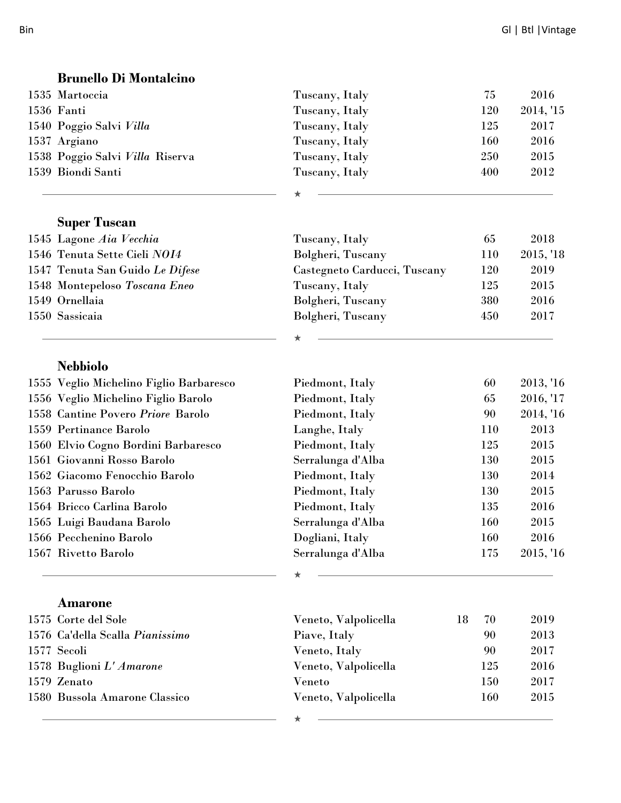| <b>Brunello Di Montalcino</b>           |                              |            |           |
|-----------------------------------------|------------------------------|------------|-----------|
| 1535 Martoccia                          | Tuscany, Italy               | 75         | 2016      |
| 1536 Fanti                              | Tuscany, Italy               | 120        | 2014, '15 |
| 1540 Poggio Salvi Villa                 | Tuscany, Italy               | 125        | 2017      |
| 1537 Argiano                            | Tuscany, Italy               | 160        | 2016      |
| 1538 Poggio Salvi Villa Riserva         | Tuscany, Italy               | 250        | 2015      |
| 1539 Biondi Santi                       | Tuscany, Italy               | 400        | 2012      |
|                                         |                              |            |           |
| <b>Super Tuscan</b>                     |                              |            |           |
| 1545 Lagone Aia Vecchia                 | Tuscany, Italy               | 65         | 2018      |
| 1546 Tenuta Sette Cieli NOI4            | Bolgheri, Tuscany            | 110        | 2015, '18 |
| 1547 Tenuta San Guido Le Difese         | Castegneto Carducci, Tuscany | 120        | 2019      |
| 1548 Montepeloso Toscana Eneo           | Tuscany, Italy               | 125        | 2015      |
| 1549 Ornellaia                          | Bolgheri, Tuscany            | 380        | 2016      |
| 1550 Sassicaia                          | Bolgheri, Tuscany            | 450        | 2017      |
|                                         |                              |            |           |
| <b>Nebbiolo</b>                         |                              |            |           |
| 1555 Veglio Michelino Figlio Barbaresco | Piedmont, Italy              | 60         | 2013, '16 |
| 1556 Veglio Michelino Figlio Barolo     | Piedmont, Italy              | 65         | 2016, '17 |
| 1558 Cantine Povero Priore Barolo       | Piedmont, Italy              | 90         | 2014, '16 |
| 1559 Pertinance Barolo                  | Langhe, Italy                | 110        | 2013      |
| 1560 Elvio Cogno Bordini Barbaresco     | Piedmont, Italy              | 125        | 2015      |
| 1561 Giovanni Rosso Barolo              | Serralunga d'Alba            | 130        | 2015      |
| 1562 Giacomo Fenocchio Barolo           | Piedmont, Italy              | 130        | 2014      |
| 1563 Parusso Barolo                     | Piedmont, Italy              | 130        | 2015      |
| 1564 Bricco Carlina Barolo              | Piedmont, Italy              | 135        | 2016      |
| 1565 Luigi Baudana Barolo               | Serralunga d'Alba            | <b>160</b> | 2015      |
| 1566 Pecchenino Barolo                  | Dogliani, Italy              | 160        | 2016      |
| 1567 Rivetto Barolo                     | Serralunga d'Alba            | 175        | 2015, '16 |
|                                         | ★                            |            |           |

| 1575 Corte del Sole             | Veneto, Valpolicella | 18. | 70  | 2019 |
|---------------------------------|----------------------|-----|-----|------|
| 1576 Ca'della Scalla Pianissimo | Piave, Italy         |     | 90  | 2013 |
| 1577 Secoli                     | Veneto, Italy        |     | 90  | 2017 |
| 1578 Buglioni L'Amarone         | Veneto, Valpolicella |     | 125 | 2016 |
| 1579 Zenato                     | Veneto               |     | 150 | 2017 |
| 1580 Bussola Amarone Classico   | Veneto, Valpolicella |     | 160 | 2015 |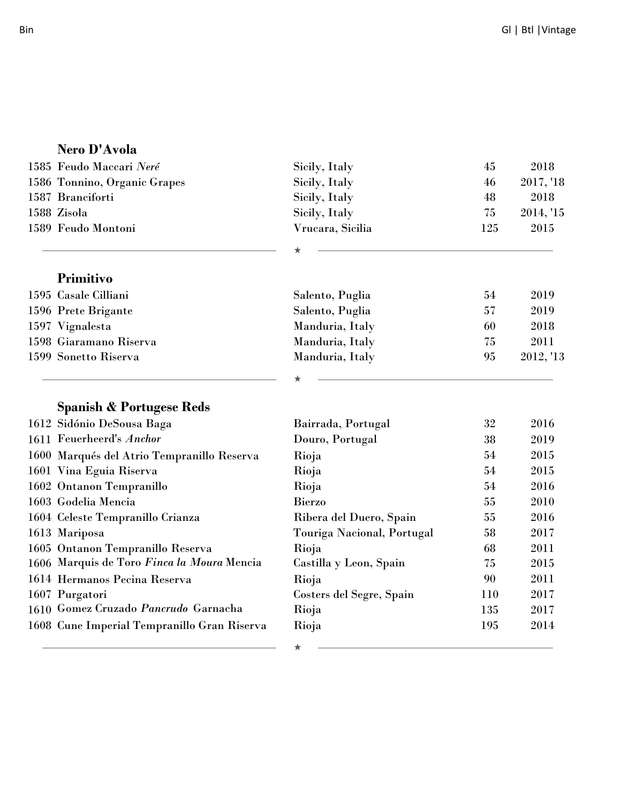|  | <b>Nero D'Avoia</b>                         |                            |     |           |
|--|---------------------------------------------|----------------------------|-----|-----------|
|  | 1585 Feudo Maccari Neré                     | Sicily, Italy              | 45  | 2018      |
|  | 1586 Tonnino, Organic Grapes                | Sicily, Italy              | 46  | 2017, '18 |
|  | 1587 Branciforti                            | Sicily, Italy              | 48  | 2018      |
|  | 1588 Zisola                                 | Sicily, Italy              | 75  | 2014, '15 |
|  | 1589 Feudo Montoni                          | Vrucara, Sicilia           | 125 | 2015      |
|  |                                             |                            |     |           |
|  | Primitivo                                   |                            |     |           |
|  | 1595 Casale Cilliani                        | Salento, Puglia            | 54  | 2019      |
|  | 1596 Prete Brigante                         | Salento, Puglia            | 57  | 2019      |
|  | 1597 Vignalesta                             | Manduria, Italy            | 60  | 2018      |
|  | 1598 Giaramano Riserva                      | Manduria, Italy            | 75  | 2011      |
|  | 1599 Sonetto Riserva                        | Manduria, Italy            | 95  | 2012, '13 |
|  |                                             |                            |     |           |
|  | <b>Spanish &amp; Portugese Reds</b>         |                            |     |           |
|  | 1612 Sidónio DeSousa Baga                   | Bairrada, Portugal         | 32  | 2016      |
|  | 1611 Feuerheerd's Anchor                    | Douro, Portugal            | 38  | 2019      |
|  | 1600 Marqués del Atrio Tempranillo Reserva  | Rioja                      | 54  | 2015      |
|  | 1601 Vina Eguia Riserva                     | Rioja                      | 54  | 2015      |
|  | 1602 Ontanon Tempranillo                    | Rioja                      | 54  | 2016      |
|  | 1603 Godelia Mencia                         | <b>Bierzo</b>              | 55  | 2010      |
|  | 1604 Celeste Tempranillo Crianza            | Ribera del Duero, Spain    | 55  | 2016      |
|  | 1613 Mariposa                               | Touriga Nacional, Portugal | 58  | 2017      |
|  | 1605 Ontanon Tempranillo Reserva            | Rioja                      | 68  | 2011      |
|  | 1606 Marquis de Toro Finca la Moura Mencia  | Castilla y Leon, Spain     | 75  | 2015      |
|  | 1614 Hermanos Pecina Reserva                | Rioja                      | 90  | 2011      |
|  | 1607 Purgatori                              | Costers del Segre, Spain   | 110 | 2017      |
|  | 1610 Gomez Cruzado Pancrudo Garnacha        | Rioja                      | 135 | 2017      |
|  | 1608 Cune Imperial Tempranillo Gran Riserva | Rioja                      | 195 | 2014      |
|  |                                             | $\star$                    |     |           |

#### **Nero D'Avola**